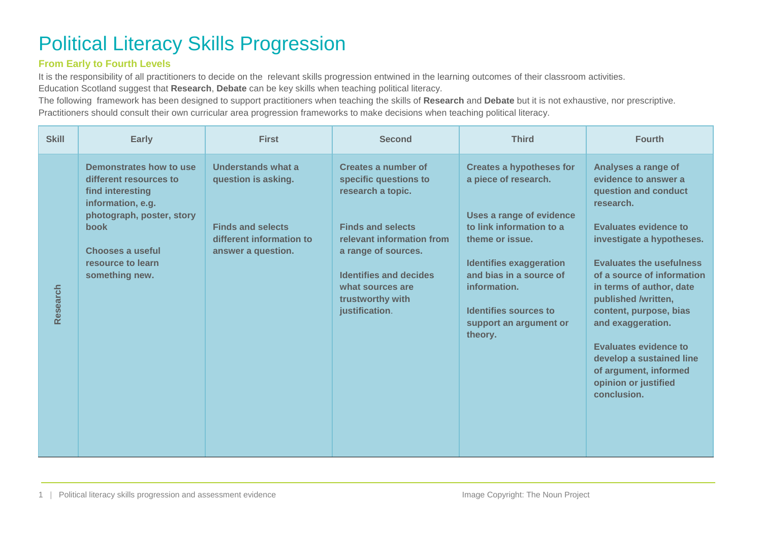## Political Literacy Skills Progression

## **From Early to Fourth Levels**

It is the responsibility of all practitioners to decide on the relevant skills progression entwined in the learning outcomes of their classroom activities.

Education Scotland suggest that **Research**, **Debate** can be key skills when teaching political literacy.

The following framework has been designed to support practitioners when teaching the skills of **Research** and **Debate** but it is not exhaustive, nor prescriptive. Practitioners should consult their own curricular area progression frameworks to make decisions when teaching political literacy.

| <b>Skill</b> | <b>Early</b>                                                                                                                                                                                      | <b>First</b>                                                                                                            | <b>Second</b>                                                                                                                                                                                                                                | <b>Third</b>                                                                                                                                                                                                                                                                  | <b>Fourth</b>                                                                                                                                                                                                                                                                                                                                                                                                                         |
|--------------|---------------------------------------------------------------------------------------------------------------------------------------------------------------------------------------------------|-------------------------------------------------------------------------------------------------------------------------|----------------------------------------------------------------------------------------------------------------------------------------------------------------------------------------------------------------------------------------------|-------------------------------------------------------------------------------------------------------------------------------------------------------------------------------------------------------------------------------------------------------------------------------|---------------------------------------------------------------------------------------------------------------------------------------------------------------------------------------------------------------------------------------------------------------------------------------------------------------------------------------------------------------------------------------------------------------------------------------|
| Research     | Demonstrates how to use<br>different resources to<br>find interesting<br>information, e.g.<br>photograph, poster, story<br><b>book</b><br>Chooses a useful<br>resource to learn<br>something new. | Understands what a<br>question is asking.<br><b>Finds and selects</b><br>different information to<br>answer a question. | Creates a number of<br>specific questions to<br>research a topic.<br><b>Finds and selects</b><br>relevant information from<br>a range of sources.<br><b>Identifies and decides</b><br>what sources are<br>trustworthy with<br>justification. | <b>Creates a hypotheses for</b><br>a piece of research.<br>Uses a range of evidence<br>to link information to a<br>theme or issue.<br><b>Identifies exaggeration</b><br>and bias in a source of<br>information.<br>Identifies sources to<br>support an argument or<br>theory. | Analyses a range of<br>evidence to answer a<br>question and conduct<br>research.<br><b>Evaluates evidence to</b><br>investigate a hypotheses.<br><b>Evaluates the usefulness</b><br>of a source of information<br>in terms of author, date<br>published /written,<br>content, purpose, bias<br>and exaggeration.<br>Evaluates evidence to<br>develop a sustained line<br>of argument, informed<br>opinion or justified<br>conclusion. |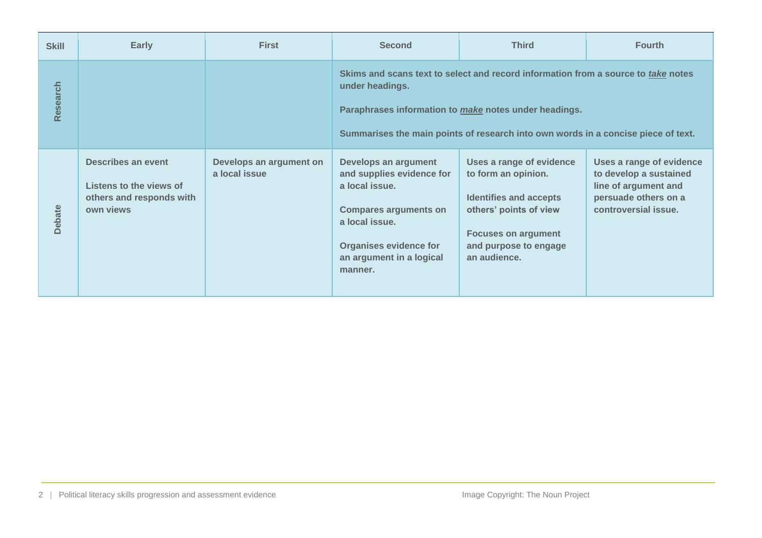| <b>Skill</b>  | Early                                                                                  | <b>First</b>                             | <b>Second</b>                                                                                                                                                                                                                                      | <b>Third</b>                                                                                                                                                                      | <b>Fourth</b>                                                                                                              |
|---------------|----------------------------------------------------------------------------------------|------------------------------------------|----------------------------------------------------------------------------------------------------------------------------------------------------------------------------------------------------------------------------------------------------|-----------------------------------------------------------------------------------------------------------------------------------------------------------------------------------|----------------------------------------------------------------------------------------------------------------------------|
| Research      |                                                                                        |                                          | Skims and scans text to select and record information from a source to take notes<br>under headings.<br>Paraphrases information to make notes under headings.<br>Summarises the main points of research into own words in a concise piece of text. |                                                                                                                                                                                   |                                                                                                                            |
| <b>Debate</b> | Describes an event<br>Listens to the views of<br>others and responds with<br>own views | Develops an argument on<br>a local issue | Develops an argument<br>and supplies evidence for<br>a local issue.<br><b>Compares arguments on</b><br>a local issue.<br><b>Organises evidence for</b><br>an argument in a logical<br>manner.                                                      | Uses a range of evidence<br>to form an opinion.<br><b>Identifies and accepts</b><br>others' points of view<br><b>Focuses on argument</b><br>and purpose to engage<br>an audience. | Uses a range of evidence<br>to develop a sustained<br>line of argument and<br>persuade others on a<br>controversial issue. |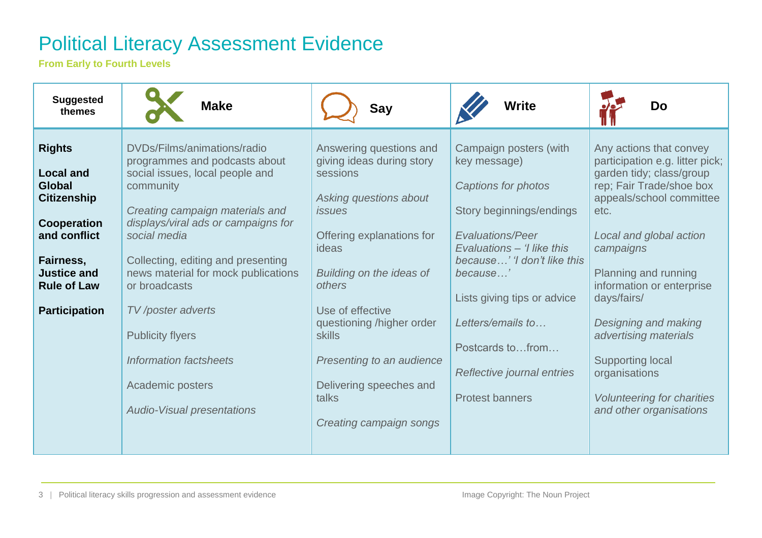## Political Literacy Assessment Evidence

**From Early to Fourth Levels**

| <b>Suggested</b><br>themes                                                                                                                                                               | <b>Make</b>                                                                                                                                                                                                                                                                                                                                                                                                                              | Say                                                                                                                                                                                                                                                                                                                                            | Write                                                                                                                                                                                                                                                                                                                         | Do                                                                                                                                                                                                                                                                                                                                                                                                                              |
|------------------------------------------------------------------------------------------------------------------------------------------------------------------------------------------|------------------------------------------------------------------------------------------------------------------------------------------------------------------------------------------------------------------------------------------------------------------------------------------------------------------------------------------------------------------------------------------------------------------------------------------|------------------------------------------------------------------------------------------------------------------------------------------------------------------------------------------------------------------------------------------------------------------------------------------------------------------------------------------------|-------------------------------------------------------------------------------------------------------------------------------------------------------------------------------------------------------------------------------------------------------------------------------------------------------------------------------|---------------------------------------------------------------------------------------------------------------------------------------------------------------------------------------------------------------------------------------------------------------------------------------------------------------------------------------------------------------------------------------------------------------------------------|
| <b>Rights</b><br><b>Local and</b><br><b>Global</b><br><b>Citizenship</b><br>Cooperation<br>and conflict<br>Fairness,<br><b>Justice and</b><br><b>Rule of Law</b><br><b>Participation</b> | DVDs/Films/animations/radio<br>programmes and podcasts about<br>social issues, local people and<br>community<br>Creating campaign materials and<br>displays/viral ads or campaigns for<br>social media<br>Collecting, editing and presenting<br>news material for mock publications<br>or broadcasts<br>TV /poster adverts<br><b>Publicity flyers</b><br>Information factsheets<br>Academic posters<br><b>Audio-Visual presentations</b> | Answering questions and<br>giving ideas during story<br>sessions<br>Asking questions about<br><i>issues</i><br>Offering explanations for<br>ideas<br>Building on the ideas of<br>others<br>Use of effective<br>questioning /higher order<br>skills<br>Presenting to an audience<br>Delivering speeches and<br>talks<br>Creating campaign songs | Campaign posters (with<br>key message)<br>Captions for photos<br>Story beginnings/endings<br><b>Evaluations/Peer</b><br>Evaluations - 'I like this<br>because' 'I don't like this<br>because'<br>Lists giving tips or advice<br>Letters/emails to<br>Postcards tofrom<br>Reflective journal entries<br><b>Protest banners</b> | Any actions that convey<br>participation e.g. litter pick;<br>garden tidy; class/group<br>rep; Fair Trade/shoe box<br>appeals/school committee<br>etc.<br>Local and global action<br>campaigns<br>Planning and running<br>information or enterprise<br>days/fairs/<br>Designing and making<br>advertising materials<br><b>Supporting local</b><br>organisations<br><b>Volunteering for charities</b><br>and other organisations |

3 | Political literacy skills progression and assessment evidence Image Copyright: The Noun Project